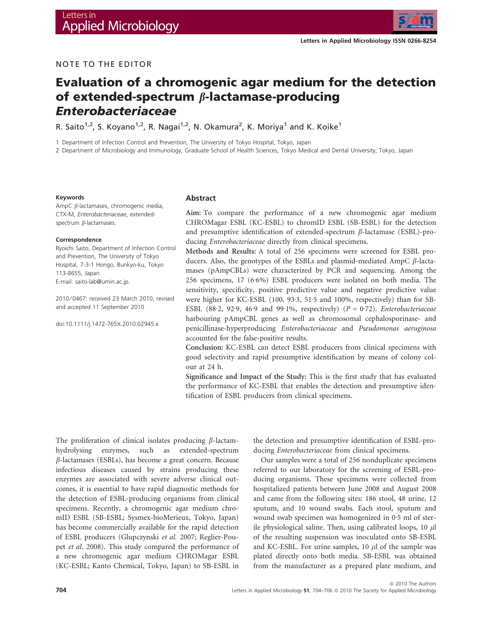

## NOTE TO THE EDITOR

# Evaluation of a chromogenic agar medium for the detection of extended-spectrum  $\beta$ -lactamase-producing Enterobacteriaceae

R. Saito<sup>1,2</sup>, S. Koyano<sup>1,2</sup>, R. Nagai<sup>1,2</sup>, N. Okamura<sup>2</sup>, K. Moriya<sup>1</sup> and K. Koike<sup>1</sup>

1 Department of Infection Control and Prevention, The University of Tokyo Hospital, Tokyo, Japan

2 Department of Microbiology and Immunology, Graduate School of Health Sciences, Tokyo Medical and Dental University, Tokyo, Japan

## Keywords

AmpC *B*-lactamases, chromogenic media, CTX-M, Enterobacteriaceae, extendedspectrum  $\beta$ -lactamases.

#### Correspondence

Ryoichi Saito, Department of Infection Control and Prevention, The University of Tokyo Hospital, 7-3-1 Hongo, Bunkyo-ku, Tokyo 113-8655, Japan. E-mail: saito-lab@umin.ac.jp.

2010 ⁄ 0467: received 23 March 2010, revised and accepted 11 September 2010

doi:10.1111/j.1472-765X.2010.02945.x

## Abstract

Aim: To compare the performance of a new chromogenic agar medium CHROMagar ESBL (KC-ESBL) to chromID ESBL (SB-ESBL) for the detection and presumptive identification of extended-spectrum  $\beta$ -lactamase (ESBL)-producing Enterobacteriaceae directly from clinical specimens.

Methods and Results: A total of 256 specimens were screened for ESBL producers. Also, the genotypes of the ESBLs and plasmid-mediated AmpC  $\beta$ -lactamases (pAmpCBLs) were characterized by PCR and sequencing. Among the 256 specimens, 17 (6·6%) ESBL producers were isolated on both media. The sensitivity, specificity, positive predictive value and negative predictive value were higher for KC-ESBL (100, 93.3, 51.5 and 100%, respectively) than for SB-ESBL (88.2, 92.9, 46.9 and 99.1%, respectively) ( $P = 0.72$ ). Enterobacteriaceae harbouring pAmpCBL genes as well as chromosomal cephalosporinase- and penicillinase-hyperproducing Enterobacteriaceae and Pseudomonas aeruginosa accounted for the false-positive results.

Conclusion: KC-ESBL can detect ESBL producers from clinical specimens with good selectivity and rapid presumptive identification by means of colony colour at 24 h.

Significance and Impact of the Study: This is the first study that has evaluated the performance of KC-ESBL that enables the detection and presumptive identification of ESBL producers from clinical specimens.

The proliferation of clinical isolates producing  $\beta$ -lactamhydrolysing enzymes, such as extended-spectrum  $\beta$ -lactamases (ESBLs), has become a great concern. Because infectious diseases caused by strains producing these enzymes are associated with severe adverse clinical outcomes, it is essential to have rapid diagnostic methods for the detection of ESBL-producing organisms from clinical specimens. Recently, a chromogenic agar medium chromID ESBL (SB-ESBL; Sysmex-bioMerieux, Tokyo, Japan) has become commercially available for the rapid detection of ESBL producers (Glupczynski et al. 2007; Reglier-Poupet et al. 2008). This study compared the performance of a new chromogenic agar medium CHROMagar ESBL (KC-ESBL; Kanto Chemical, Tokyo, Japan) to SB-ESBL in the detection and presumptive identification of ESBL-producing Enterobacteriaceae from clinical specimens.

Our samples were a total of 256 nonduplicate specimens referred to our laboratory for the screening of ESBL-producing organisms. These specimens were collected from hospitalized patients between June 2008 and August 2008 and came from the following sites: 186 stool, 48 urine, 12 sputum, and 10 wound swabs. Each stool, sputum and wound swab specimen was homogenized in  $0.5$  ml of sterile physiological saline. Then, using calibrated loops, 10  $\mu$ l of the resulting suspension was inoculated onto SB-ESBL and KC-ESBL. For urine samples, 10  $\mu$ l of the sample was plated directly onto both media. SB-ESBL was obtained from the manufacturer as a prepared plate medium, and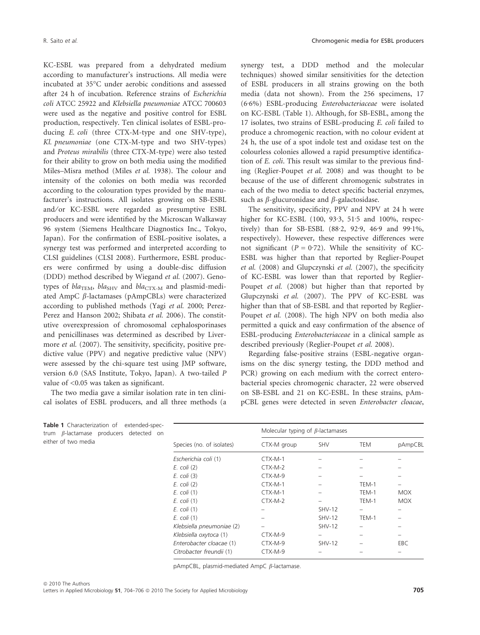KC-ESBL was prepared from a dehydrated medium according to manufacturer's instructions. All media were incubated at 35-C under aerobic conditions and assessed after 24 h of incubation. Reference strains of Escherichia coli ATCC 25922 and Klebsiella pneumoniae ATCC 700603 were used as the negative and positive control for ESBL production, respectively. Ten clinical isolates of ESBL-producing E. coli (three CTX-M-type and one SHV-type), Kl. pneumoniae (one CTX-M-type and two SHV-types) and Proteus mirabilis (three CTX-M-type) were also tested for their ability to grow on both media using the modified Miles–Misra method (Miles et al. 1938). The colour and intensity of the colonies on both media was recorded according to the colouration types provided by the manufacturer's instructions. All isolates growing on SB-ESBL and/or KC-ESBL were regarded as presumptive ESBL producers and were identified by the Microscan Walkaway 96 system (Siemens Healthcare Diagnostics Inc., Tokyo, Japan). For the confirmation of ESBL-positive isolates, a synergy test was performed and interpreted according to CLSI guidelines (CLSI 2008). Furthermore, ESBL producers were confirmed by using a double-disc diffusion (DDD) method described by Wiegand et al. (2007). Genotypes of  $bla_{\text{TEM}}$ ,  $bla_{\text{SHV}}$  and  $bla_{\text{CTX-M}}$  and plasmid-mediated AmpC  $\beta$ -lactamases (pAmpCBLs) were characterized according to published methods (Yagi et al. 2000; Perez-Perez and Hanson 2002; Shibata et al. 2006). The constitutive overexpression of chromosomal cephalosporinases and penicillinases was determined as described by Livermore et al. (2007). The sensitivity, specificity, positive predictive value (PPV) and negative predictive value (NPV) were assessed by the chi-square test using JMP software, version 6.0 (SAS Institute, Tokyo, Japan). A two-tailed P value of <0.05 was taken as significant.

The two media gave a similar isolation rate in ten clinical isolates of ESBL producers, and all three methods (a

Table 1 Characterization of extended-spectrum  $\beta$ -lactamase producers detected on

either of two media

synergy test, a DDD method and the molecular techniques) showed similar sensitivities for the detection of ESBL producers in all strains growing on the both media (data not shown). From the 256 specimens, 17  $(6.6%)$  ESBL-producing *Enterobacteriaceae* were isolated on KC-ESBL (Table 1). Although, for SB-ESBL, among the 17 isolates, two strains of ESBL-producing E. coli failed to produce a chromogenic reaction, with no colour evident at 24 h, the use of a spot indole test and oxidase test on the colourless colonies allowed a rapid presumptive identification of E. coli. This result was similar to the previous finding (Reglier-Poupet et al. 2008) and was thought to be because of the use of different chromogenic substrates in each of the two media to detect specific bacterial enzymes, such as  $\beta$ -glucuronidase and  $\beta$ -galactosidase.

The sensitivity, specificity, PPV and NPV at 24 h were higher for KC-ESBL  $(100, 93.3, 51.5, 51.5)$  and  $100\%$ , respectively) than for SB-ESBL (88.2, 92.9, 46.9 and 99.1%, respectively). However, these respective differences were not significant ( $P = 0.72$ ). While the sensitivity of KC-ESBL was higher than that reported by Reglier-Poupet et al. (2008) and Glupczynski et al. (2007), the specificity of KC-ESBL was lower than that reported by Reglier-Poupet et al. (2008) but higher than that reported by Glupczynski et al. (2007). The PPV of KC-ESBL was higher than that of SB-ESBL and that reported by Reglier-Poupet et al. (2008). The high NPV on both media also permitted a quick and easy confirmation of the absence of ESBL-producing Enterobacteriaceae in a clinical sample as described previously (Reglier-Poupet et al. 2008).

Regarding false-positive strains (ESBL-negative organisms on the disc synergy testing, the DDD method and PCR) growing on each medium with the correct enterobacterial species chromogenic character, 22 were observed on SB-ESBL and 21 on KC-ESBL. In these strains, pAmpCBL genes were detected in seven Enterobacter cloacae,

| Species (no. of isolates) | Molecular typing of $\beta$ -lactamases |               |       |            |
|---------------------------|-----------------------------------------|---------------|-------|------------|
|                           | CTX-M group                             | <b>SHV</b>    | TEM   | pAmpCBL    |
| Escherichia coli (1)      | $CTX-M-1$                               |               |       |            |
| $E.$ coli $(2)$           | CTX-M-2                                 |               |       |            |
| $E.$ coli $(3)$           | CTX-M-9                                 |               |       |            |
| $E.$ coli $(2)$           | $CTX-M-1$                               |               | TEM-1 |            |
| E. coli (1)               | $CTX-M-1$                               |               | TEM-1 | <b>MOX</b> |
| E. coli (1)               | CTX-M-2                                 |               | TEM-1 | <b>MOX</b> |
| $E.$ coli $(1)$           |                                         | $SHV-12$      |       |            |
| $E.$ coli $(1)$           |                                         | <b>SHV-12</b> | TEM-1 |            |
| Klebsiella pneumoniae (2) |                                         | <b>SHV-12</b> |       |            |
| Klebsiella oxytoca (1)    | CTX-M-9                                 |               |       |            |
| Enterobacter cloacae (1)  | CTX-M-9                                 | <b>SHV-12</b> |       | EBC.       |
| Citrobacter freundii (1)  | CTX-M-9                                 |               |       |            |

pAmpCBL, plasmid-mediated AmpC  $\beta$ -lactamase.